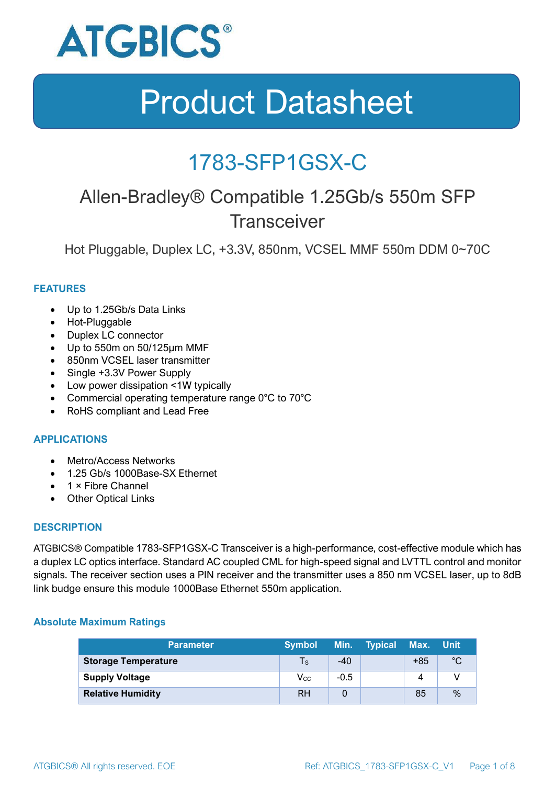

### 1783-SFP1GSX-C

### Allen-Bradley® Compatible 1.25Gb/s 550m SFP **Transceiver**

Hot Pluggable, Duplex LC, +3.3V, 850nm, VCSEL MMF 550m DDM 0~70C

#### **FEATURES**

- Up to 1.25Gb/s Data Links
- Hot-Pluggable
- Duplex LC connector
- Up to 550m on 50/125μm MMF
- 850nm VCSEL laser transmitter
- Single +3.3V Power Supply
- Low power dissipation <1W typically
- Commercial operating temperature range 0°C to 70°C
- RoHS compliant and Lead Free

#### **APPLICATIONS**

- Metro/Access Networks
- 1.25 Gb/s 1000Base-SX Ethernet
- 1 × Fibre Channel
- Other Optical Links

#### **DESCRIPTION**

ATGBICS® Compatible 1783-SFP1GSX-C Transceiver is a high-performance, cost-effective module which has a duplex LC optics interface. Standard AC coupled CML for high-speed signal and LVTTL control and monitor signals. The receiver section uses a PIN receiver and the transmitter uses a 850 nm VCSEL laser, up to 8dB link budge ensure this module 1000Base Ethernet 550m application.

#### **Absolute Maximum Ratings**

| <b>Parameter</b>           | <b>Symbol</b>              |        | Min. Typical Max. |       | ⊟Unit |
|----------------------------|----------------------------|--------|-------------------|-------|-------|
| <b>Storage Temperature</b> | $\mathsf{Ts}$              | $-40$  |                   | $+85$ | °C    |
| <b>Supply Voltage</b>      | $\mathsf{V}_{\mathsf{CC}}$ | $-0.5$ |                   |       |       |
| <b>Relative Humidity</b>   | RH                         |        |                   | 85    | %     |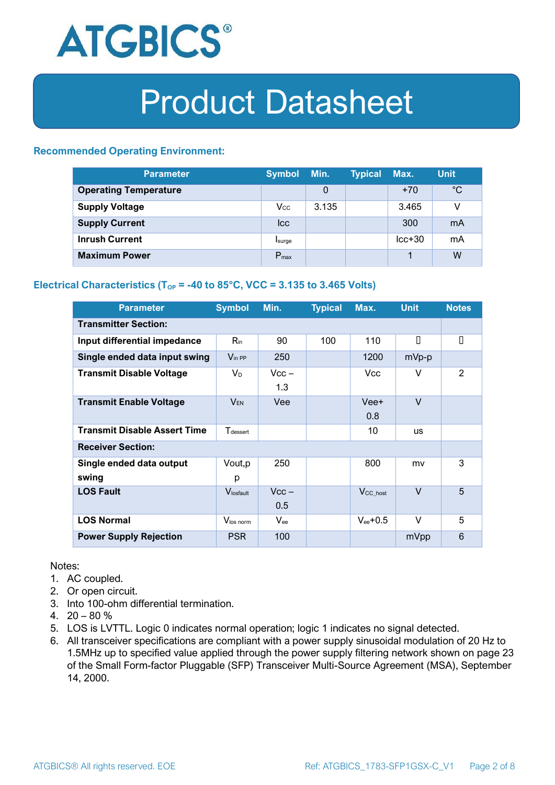

#### **Recommended Operating Environment:**

| <b>Parameter</b>             | <b>Symbol</b>    | Min.  | <b>Typical</b> | Max.     | <b>Unit</b> |
|------------------------------|------------------|-------|----------------|----------|-------------|
| <b>Operating Temperature</b> |                  | 0     |                | $+70$    | $^{\circ}C$ |
| <b>Supply Voltage</b>        | $V_{\rm CC}$     | 3.135 |                | 3.465    | v           |
| <b>Supply Current</b>        | <b>Icc</b>       |       |                | 300      | mA          |
| <b>Inrush Current</b>        | Isurge           |       |                | $lcc+30$ | mA          |
| <b>Maximum Power</b>         | $P_{\text{max}}$ |       |                |          | W           |

#### **Electrical Characteristics** ( $T_{OP}$  = -40 to 85°C, VCC = 3.135 to 3.465 Volts)

| <b>Parameter</b>                    | <b>Symbol</b>               | Min.           | <b>Typical</b> | Max.                  | <b>Unit</b> | <b>Notes</b> |  |
|-------------------------------------|-----------------------------|----------------|----------------|-----------------------|-------------|--------------|--|
| <b>Transmitter Section:</b>         |                             |                |                |                       |             |              |  |
| Input differential impedance        | $R_{\rm in}$                | 90             | 100            | 110                   | П           | О            |  |
| Single ended data input swing       | $V_{\text{in PP}}$          | 250            |                | 1200                  | mVp-p       |              |  |
| <b>Transmit Disable Voltage</b>     | $V_D$                       | $Vcc -$<br>1.3 |                | Vcc                   | V           | 2            |  |
| <b>Transmit Enable Voltage</b>      | $V_{EN}$                    | Vee            |                | Vee+<br>0.8           | $\vee$      |              |  |
| <b>Transmit Disable Assert Time</b> | <b>T</b> <sub>dessert</sub> |                |                | 10                    | <b>US</b>   |              |  |
| <b>Receiver Section:</b>            |                             |                |                |                       |             |              |  |
| Single ended data output<br>swing   | Vout, p<br>р                | 250            |                | 800                   | mv          | 3            |  |
| <b>LOS Fault</b>                    | Vlosfault                   | $Vcc -$<br>0.5 |                | $V_{\text{CC\_host}}$ | $\vee$      | 5            |  |
| <b>LOS Normal</b>                   | Vlos norm                   | $V_{\rm ee}$   |                | $V_{ee}$ +0.5         | V           | 5            |  |
| <b>Power Supply Rejection</b>       | <b>PSR</b>                  | 100            |                |                       | mVpp        | 6            |  |

Notes:

- 1. AC coupled.
- 2. Or open circuit.
- 3. Into 100-ohm differential termination.
- 4.  $20 80 \%$
- 5. LOS is LVTTL. Logic 0 indicates normal operation; logic 1 indicates no signal detected.
- 6. All transceiver specifications are compliant with a power supply sinusoidal modulation of 20 Hz to 1.5MHz up to specified value applied through the power supply filtering network shown on page 23 of the Small Form-factor Pluggable (SFP) Transceiver Multi-Source Agreement (MSA), September 14, 2000.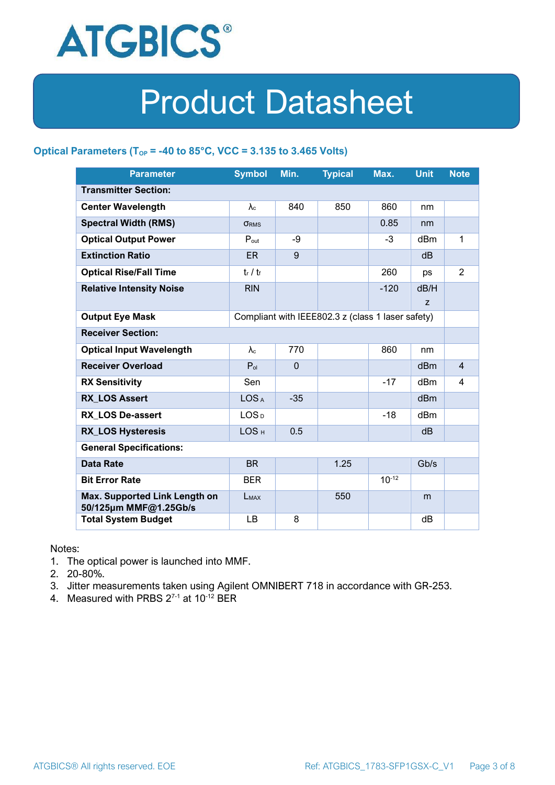

#### **Optical Parameters** ( $T_{OP}$  = -40 to 85°C, VCC = 3.135 to 3.465 Volts)

| <b>Parameter</b>                                                            | <b>Symbol</b>     | Min.         | <b>Typical</b> | Max.       | <b>Unit</b>     | <b>Note</b>    |
|-----------------------------------------------------------------------------|-------------------|--------------|----------------|------------|-----------------|----------------|
| <b>Transmitter Section:</b>                                                 |                   |              |                |            |                 |                |
| <b>Center Wavelength</b>                                                    | $\lambda_c$       | 840          | 850            | 860        | nm              |                |
| <b>Spectral Width (RMS)</b>                                                 | <b>ORMS</b>       |              |                | 0.85       | nm              |                |
| <b>Optical Output Power</b>                                                 | $P_{\text{out}}$  | -9           |                | $-3$       | dBm             | 1              |
| <b>Extinction Ratio</b>                                                     | <b>ER</b>         | 9            |                |            | dB              |                |
| <b>Optical Rise/Fall Time</b>                                               | $t_r / t_f$       |              |                | 260        | ps              | $\overline{2}$ |
| <b>Relative Intensity Noise</b>                                             | <b>RIN</b>        |              |                | $-120$     | dB/H            |                |
|                                                                             |                   |              |                |            | Z               |                |
| <b>Output Eye Mask</b><br>Compliant with IEEE802.3 z (class 1 laser safety) |                   |              |                |            |                 |                |
| <b>Receiver Section:</b>                                                    |                   |              |                |            |                 |                |
| <b>Optical Input Wavelength</b>                                             | $\lambda_{\rm c}$ | 770          |                | 860        | nm              |                |
| <b>Receiver Overload</b>                                                    | $P_{ol}$          | $\mathbf{0}$ |                |            | dBm             | $\overline{4}$ |
| <b>RX Sensitivity</b>                                                       | Sen               |              |                | $-17$      | dBm             | 4              |
| <b>RX LOS Assert</b>                                                        | LOS <sub>A</sub>  | $-35$        |                |            | d <sub>Bm</sub> |                |
| <b>RX LOS De-assert</b>                                                     | LOS <sub>D</sub>  |              |                | -18        | dB <sub>m</sub> |                |
| <b>RX_LOS Hysteresis</b>                                                    | LOS <sub>H</sub>  | 0.5          |                |            | d <sub>B</sub>  |                |
| <b>General Specifications:</b>                                              |                   |              |                |            |                 |                |
| <b>Data Rate</b>                                                            | <b>BR</b>         |              | 1.25           |            | Gb/s            |                |
| <b>Bit Error Rate</b>                                                       | <b>BER</b>        |              |                | $10^{-12}$ |                 |                |
| Max. Supported Link Length on<br>50/125µm MMF@1.25Gb/s                      | LMAX              |              | 550            |            | m               |                |
| <b>Total System Budget</b>                                                  | LB                | 8            |                |            | dB              |                |

Notes:

- 1. The optical power is launched into MMF.
- 2. 20-80%.
- 3. Jitter measurements taken using Agilent OMNIBERT 718 in accordance with GR-253.
- 4. Measured with PRBS  $2^{7-1}$  at 10<sup>-12</sup> BER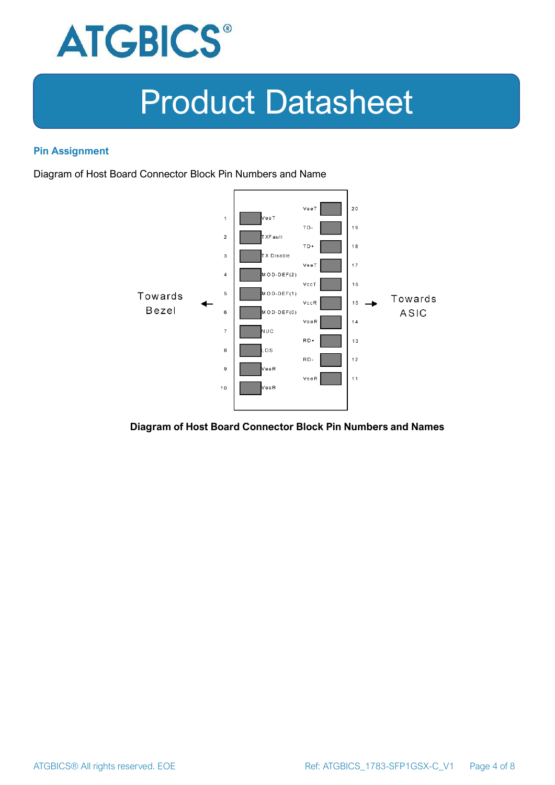

#### **Pin Assignment**

Diagram of Host Board Connector Block Pin Numbers and Name



**Diagram of Host Board Connector Block Pin Numbers and Names**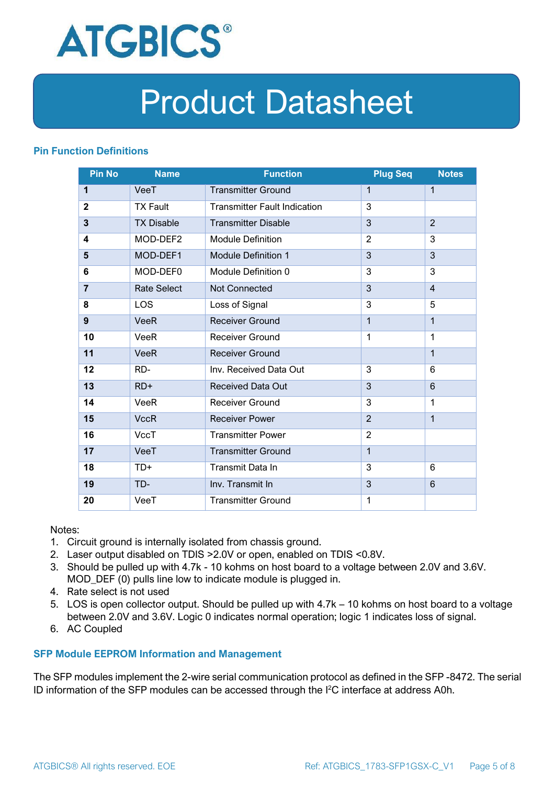

#### **Pin Function Definitions**

| <b>Pin No</b>  | <b>Name</b>        | <b>Function</b>                     | <b>Plug Seq</b> | <b>Notes</b>   |
|----------------|--------------------|-------------------------------------|-----------------|----------------|
| 1              | VeeT               | <b>Transmitter Ground</b>           | 1               | $\mathbf 1$    |
| $\mathbf 2$    | <b>TX Fault</b>    | <b>Transmitter Fault Indication</b> | 3               |                |
| 3              | <b>TX Disable</b>  | <b>Transmitter Disable</b>          | 3               | $\overline{2}$ |
| 4              | MOD-DEF2           | <b>Module Definition</b>            | $\overline{2}$  | 3              |
| 5              | MOD-DEF1           | <b>Module Definition 1</b>          | 3               | 3              |
| 6              | MOD-DEF0           | Module Definition 0                 | 3               | 3              |
| $\overline{7}$ | <b>Rate Select</b> | Not Connected                       | 3               | $\overline{4}$ |
| 8              | <b>LOS</b>         | Loss of Signal                      | 3               | 5              |
| 9              | <b>VeeR</b>        | <b>Receiver Ground</b>              | $\mathbf 1$     | $\mathbf{1}$   |
| 10             | VeeR               | Receiver Ground                     | $\mathbf{1}$    | $\mathbf 1$    |
| 11             | <b>VeeR</b>        | <b>Receiver Ground</b>              |                 | $\mathbf{1}$   |
| 12             | RD-                | Inv. Received Data Out              | 3               | 6              |
| 13             | $RD+$              | <b>Received Data Out</b>            | 3               | 6              |
| 14             | VeeR               | <b>Receiver Ground</b>              | 3               | 1              |
| 15             | <b>VccR</b>        | <b>Receiver Power</b>               | $\overline{2}$  | $\mathbf{1}$   |
| 16             | <b>VccT</b>        | <b>Transmitter Power</b>            | $\overline{2}$  |                |
| 17             | VeeT               | <b>Transmitter Ground</b>           | $\mathbf{1}$    |                |
| 18             | TD+                | Transmit Data In                    | 3               | 6              |
| 19             | TD-                | Inv. Transmit In                    | 3               | 6              |
| 20             | VeeT               | <b>Transmitter Ground</b>           | 1               |                |

Notes:

- 1. Circuit ground is internally isolated from chassis ground.
- 2. Laser output disabled on TDIS >2.0V or open, enabled on TDIS <0.8V.
- 3. Should be pulled up with 4.7k 10 kohms on host board to a voltage between 2.0V and 3.6V. MOD\_DEF (0) pulls line low to indicate module is plugged in.
- 4. Rate select is not used
- 5. LOS is open collector output. Should be pulled up with 4.7k 10 kohms on host board to a voltage between 2.0V and 3.6V. Logic 0 indicates normal operation; logic 1 indicates loss of signal.
- 6. AC Coupled

#### **SFP Module EEPROM Information and Management**

The SFP modules implement the 2-wire serial communication protocol as defined in the SFP -8472. The serial ID information of the SFP modules can be accessed through the I2C interface at address A0h.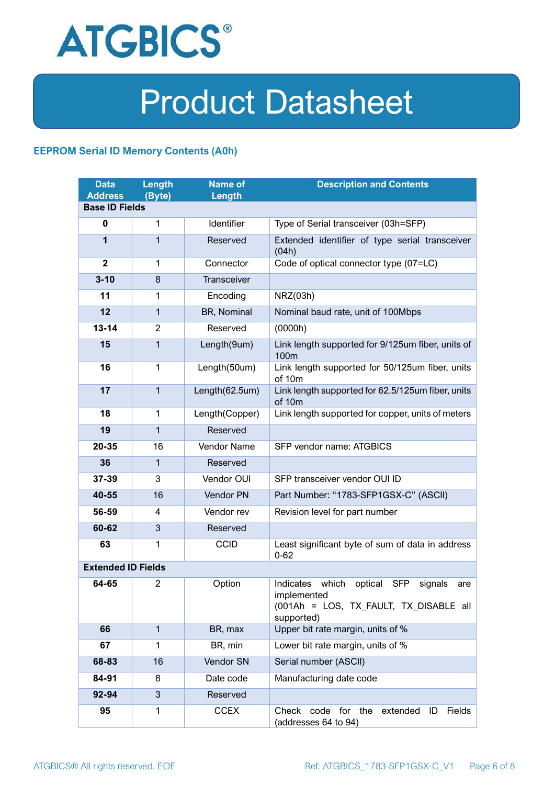

#### **EEPROM Serial ID Memory Contents (A0h)**

| <b>Data</b><br><b>Address</b> | <b>Length</b><br>(Byte) | <b>Name of</b><br>Length | <b>Description and Contents</b>                                                                                         |  |  |
|-------------------------------|-------------------------|--------------------------|-------------------------------------------------------------------------------------------------------------------------|--|--|
| <b>Base ID Fields</b>         |                         |                          |                                                                                                                         |  |  |
| $\bf{0}$                      | $\mathbf{1}$            | Identifier               | Type of Serial transceiver (03h=SFP)                                                                                    |  |  |
| 1                             | 1                       | Reserved                 | Extended identifier of type serial transceiver<br>(04h)                                                                 |  |  |
| $\overline{2}$                | $\mathbf{1}$            | Connector                | Code of optical connector type (07=LC)                                                                                  |  |  |
| $3 - 10$                      | 8                       | Transceiver              |                                                                                                                         |  |  |
| 11                            | 1                       | Encoding                 | NRZ(03h)                                                                                                                |  |  |
| 12                            | $\mathbf{1}$            | BR, Nominal              | Nominal baud rate, unit of 100Mbps                                                                                      |  |  |
| $13 - 14$                     | $\overline{2}$          | Reserved                 | (0000h)                                                                                                                 |  |  |
| 15                            | $\mathbf{1}$            | Length(9um)              | Link length supported for 9/125um fiber, units of<br>100 <sub>m</sub>                                                   |  |  |
| 16                            | $\mathbf{1}$            | Length(50um)             | Link length supported for 50/125um fiber, units<br>of 10m                                                               |  |  |
| 17                            | $\mathbf{1}$            | Length(62.5um)           | Link length supported for 62.5/125um fiber, units<br>of 10m                                                             |  |  |
| 18                            | $\mathbf{1}$            | Length(Copper)           | Link length supported for copper, units of meters                                                                       |  |  |
| 19                            | 1                       | Reserved                 |                                                                                                                         |  |  |
| 20-35                         | 16                      | Vendor Name              | SFP vendor name: ATGBICS                                                                                                |  |  |
| 36                            | 1                       | Reserved                 |                                                                                                                         |  |  |
| 37-39                         | 3                       | Vendor OUI               | SFP transceiver vendor OUI ID                                                                                           |  |  |
| 40-55                         | 16                      | Vendor PN                | Part Number: "1783-SFP1GSX-C" (ASCII)                                                                                   |  |  |
| 56-59                         | 4                       | Vendor rev               | Revision level for part number                                                                                          |  |  |
| 60-62                         | 3                       | Reserved                 |                                                                                                                         |  |  |
| 63                            | 1                       | <b>CCID</b>              | Least significant byte of sum of data in address<br>$0 - 62$                                                            |  |  |
| <b>Extended ID Fields</b>     |                         |                          |                                                                                                                         |  |  |
| 64-65                         | 2                       | Option                   | Indicates which<br>optical SFP<br>signals<br>are<br>implemented<br>(001Ah = LOS, TX_FAULT, TX_DISABLE all<br>supported) |  |  |
| 66                            | $\mathbf{1}$            | BR, max                  | Upper bit rate margin, units of %                                                                                       |  |  |
| 67                            | $\mathbf{1}$            | BR, min                  | Lower bit rate margin, units of %                                                                                       |  |  |
| 68-83                         | 16                      | Vendor SN                | Serial number (ASCII)                                                                                                   |  |  |
| 84-91                         | 8                       | Date code                | Manufacturing date code                                                                                                 |  |  |
| 92-94                         | 3                       | Reserved                 |                                                                                                                         |  |  |
| 95                            | 1                       | <b>CCEX</b>              | Check code for the<br>Fields<br>extended<br>ID<br>(addresses 64 to 94)                                                  |  |  |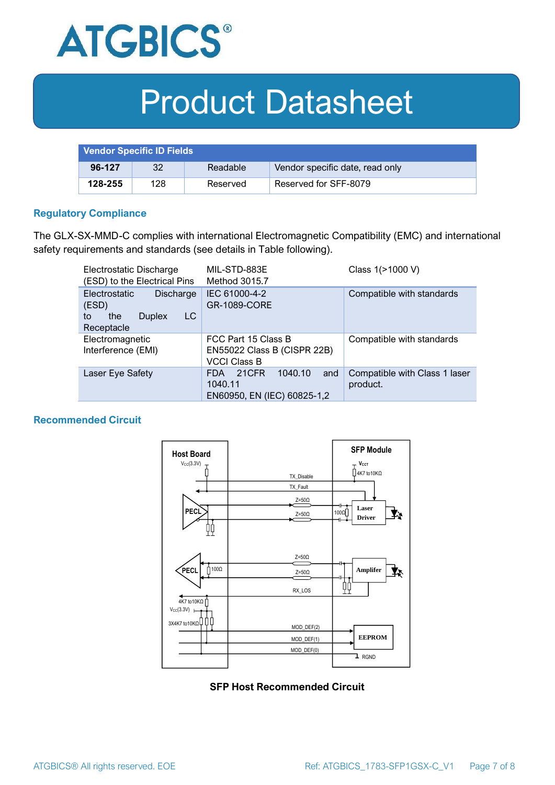

| <b>Vendor Specific ID Fields</b> |     |          |                                 |
|----------------------------------|-----|----------|---------------------------------|
| 96-127                           | 32  | Readable | Vendor specific date, read only |
| 128-255                          | 128 | Reserved | Reserved for SFF-8079           |

#### **Regulatory Compliance**

The GLX-SX-MMD-C complies with international Electromagnetic Compatibility (EMC) and international safety requirements and standards (see details in Table following).

| Electrostatic Discharge<br>(ESD) to the Electrical Pins                                      | MIL-STD-883E<br>Method 3015.7                                                   | Class 1(>1000 V)                          |  |
|----------------------------------------------------------------------------------------------|---------------------------------------------------------------------------------|-------------------------------------------|--|
| <b>Electrostatic</b><br>Discharge<br>(ESD)<br>LC<br>the<br><b>Duplex</b><br>to<br>Receptacle | IEC 61000-4-2<br><b>GR-1089-CORE</b>                                            | Compatible with standards                 |  |
| Electromagnetic<br>Interference (EMI)                                                        | FCC Part 15 Class B<br>EN55022 Class B (CISPR 22B)<br><b>VCCI Class B</b>       | Compatible with standards                 |  |
| Laser Eye Safety                                                                             | 1040.10<br>21CFR<br>and<br><b>FDA</b><br>1040.11<br>EN60950, EN (IEC) 60825-1,2 | Compatible with Class 1 laser<br>product. |  |

#### **Recommended Circuit**



#### **SFP Host Recommended Circuit**